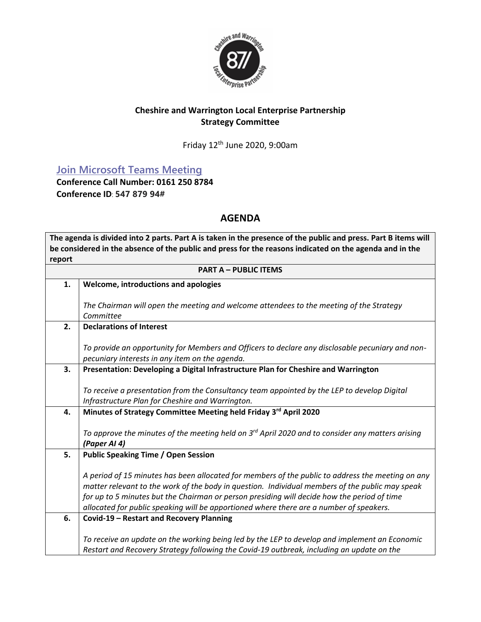

## **Cheshire and Warrington Local Enterprise Partnership Strategy Committee**

Friday 12th June 2020, 9:00am

**[Join Microsoft Teams Meeting](https://teams.microsoft.com/l/meetup-join/19%3ameeting_Y2NkMGFjNDEtZDQyMy00NDEzLTk2N2MtZDZiYWVmNjE3M2Ey%40thread.v2/0?context=%7b%22Tid%22%3a%229fdc30f0-07e8-4ece-96e4-5daef8d479d1%22%2c%22Oid%22%3a%2278369528-111b-4526-9963-8ac55e1e0d7c%22%7d)**

**Conference Call Number: 0161 250 8784 Conference ID**: **547 879 94#** 

## **AGENDA**

**The agenda is divided into 2 parts. Part A is taken in the presence of the public and press. Part B items will be considered in the absence of the public and press for the reasons indicated on the agenda and in the report PART A – PUBLIC ITEMS 1. Welcome, introductions and apologies** *The Chairman will open the meeting and welcome attendees to the meeting of the Strategy Committee* **2. Declarations of Interest** *To provide an opportunity for Members and Officers to declare any disclosable pecuniary and nonpecuniary interests in any item on the agenda.* **3. Presentation: Developing a Digital Infrastructure Plan for Cheshire and Warrington** *To receive a presentation from the Consultancy team appointed by the LEP to develop Digital Infrastructure Plan for Cheshire and Warrington.* **4. Minutes of Strategy Committee Meeting held Friday 3 rd April 2020** *To approve the minutes of the meeting held on 3 rd April 2020 and to consider any matters arising (Paper AI 4)* **5. Public Speaking Time / Open Session** *A period of 15 minutes has been allocated for members of the public to address the meeting on any matter relevant to the work of the body in question. Individual members of the public may speak for up to 5 minutes but the Chairman or person presiding will decide how the period of time allocated for public speaking will be apportioned where there are a number of speakers.* **6. Covid-19 – Restart and Recovery Planning** *To receive an update on the working being led by the LEP to develop and implement an Economic Restart and Recovery Strategy following the Covid-19 outbreak, including an update on the*